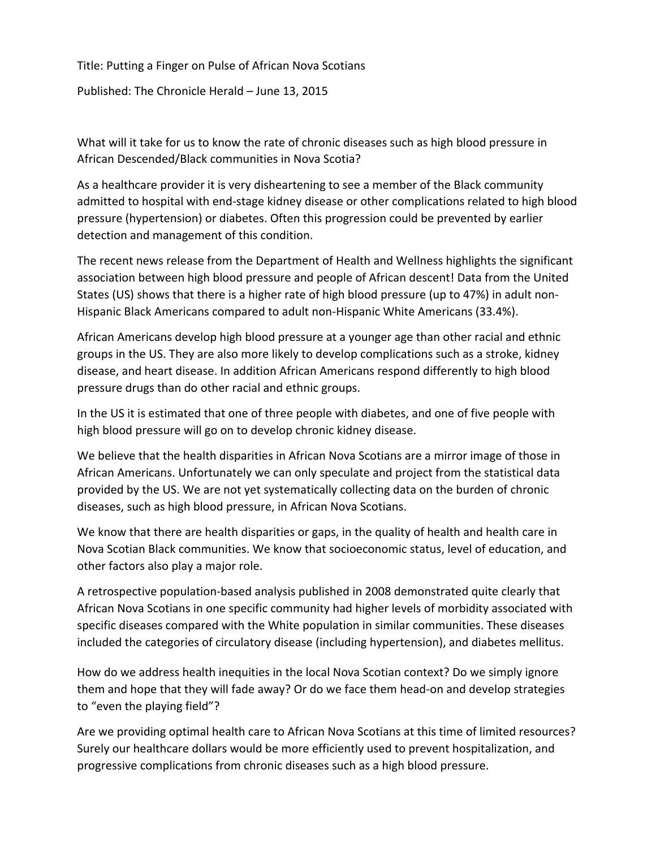Title: Putting a Finger on Pulse of African Nova Scotians

Published: The Chronicle Herald – June 13, 2015

What will it take for us to know the rate of chronic diseases such as high blood pressure in African Descended/Black communities in Nova Scotia?

As a healthcare provider it is very disheartening to see a member of the Black community admitted to hospital with end‐stage kidney disease or other complications related to high blood pressure (hypertension) or diabetes. Often this progression could be prevented by earlier detection and management of this condition.

The recent news release from the Department of Health and Wellness highlights the significant association between high blood pressure and people of African descent! Data from the United States (US) shows that there is a higher rate of high blood pressure (up to 47%) in adult non‐ Hispanic Black Americans compared to adult non‐Hispanic White Americans (33.4%).

African Americans develop high blood pressure at a younger age than other racial and ethnic groups in the US. They are also more likely to develop complications such as a stroke, kidney disease, and heart disease. In addition African Americans respond differently to high blood pressure drugs than do other racial and ethnic groups.

In the US it is estimated that one of three people with diabetes, and one of five people with high blood pressure will go on to develop chronic kidney disease.

We believe that the health disparities in African Nova Scotians are a mirror image of those in African Americans. Unfortunately we can only speculate and project from the statistical data provided by the US. We are not yet systematically collecting data on the burden of chronic diseases, such as high blood pressure, in African Nova Scotians.

We know that there are health disparities or gaps, in the quality of health and health care in Nova Scotian Black communities. We know that socioeconomic status, level of education, and other factors also play a major role.

A retrospective population‐based analysis published in 2008 demonstrated quite clearly that African Nova Scotians in one specific community had higher levels of morbidity associated with specific diseases compared with the White population in similar communities. These diseases included the categories of circulatory disease (including hypertension), and diabetes mellitus.

How do we address health inequities in the local Nova Scotian context? Do we simply ignore them and hope that they will fade away? Or do we face them head‐on and develop strategies to "even the playing field"?

Are we providing optimal health care to African Nova Scotians at this time of limited resources? Surely our healthcare dollars would be more efficiently used to prevent hospitalization, and progressive complications from chronic diseases such as a high blood pressure.